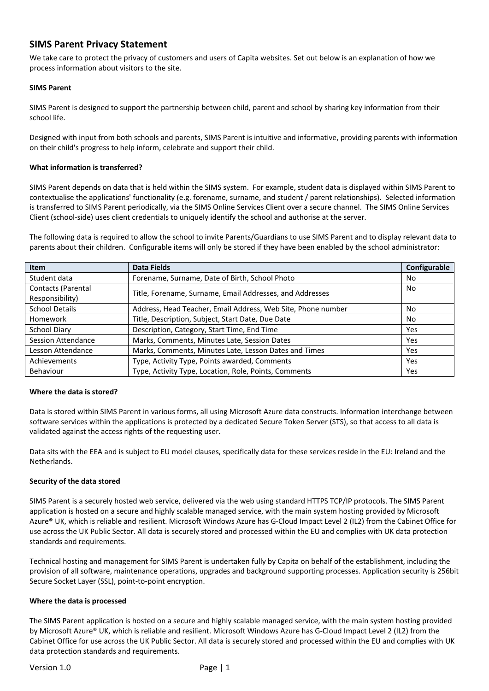# **SIMS Parent Privacy Statement**

We take care to protect the privacy of customers and users of Capita websites. Set out below is an explanation of how we process information about visitors to the site.

# **SIMS Parent**

SIMS Parent is designed to support the partnership between child, parent and school by sharing key information from their school life.

Designed with input from both schools and parents, SIMS Parent is intuitive and informative, providing parents with information on their child's progress to help inform, celebrate and support their child.

# **What information is transferred?**

SIMS Parent depends on data that is held within the SIMS system. For example, student data is displayed within SIMS Parent to contextualise the applications' functionality (e.g. forename, surname, and student / parent relationships). Selected information is transferred to SIMS Parent periodically, via the SIMS Online Services Client over a secure channel. The SIMS Online Services Client (school-side) uses client credentials to uniquely identify the school and authorise at the server.

The following data is required to allow the school to invite Parents/Guardians to use SIMS Parent and to display relevant data to parents about their children. Configurable items will only be stored if they have been enabled by the school administrator:

| <b>Item</b>                           | <b>Data Fields</b>                                           | Configurable |
|---------------------------------------|--------------------------------------------------------------|--------------|
| Student data                          | Forename, Surname, Date of Birth, School Photo               | No           |
| Contacts (Parental<br>Responsibility) | Title, Forename, Surname, Email Addresses, and Addresses     | No           |
| <b>School Details</b>                 | Address, Head Teacher, Email Address, Web Site, Phone number | No           |
| Homework                              | Title, Description, Subject, Start Date, Due Date            | No.          |
| School Diary                          | Description, Category, Start Time, End Time                  | <b>Yes</b>   |
| Session Attendance                    | Marks, Comments, Minutes Late, Session Dates                 | Yes          |
| Lesson Attendance                     | Marks, Comments, Minutes Late, Lesson Dates and Times        | Yes          |
| Achievements                          | Type, Activity Type, Points awarded, Comments                | Yes          |
| Behaviour                             | Type, Activity Type, Location, Role, Points, Comments        | Yes          |

#### **Where the data is stored?**

Data is stored within SIMS Parent in various forms, all using Microsoft Azure data constructs. Information interchange between software services within the applications is protected by a dedicated Secure Token Server (STS), so that access to all data is validated against the access rights of the requesting user.

Data sits with the EEA and is subject to EU model clauses, specifically data for these services reside in the EU: Ireland and the Netherlands.

#### **Security of the data stored**

SIMS Parent is a securely hosted web service, delivered via the web using standard HTTPS TCP/IP protocols. The SIMS Parent application is hosted on a secure and highly scalable managed service, with the main system hosting provided by Microsoft Azure® UK, which is reliable and resilient. Microsoft Windows Azure has G-Cloud Impact Level 2 (IL2) from the Cabinet Office for use across the UK Public Sector. All data is securely stored and processed within the EU and complies with UK data protection standards and requirements.

Technical hosting and management for SIMS Parent is undertaken fully by Capita on behalf of the establishment, including the provision of all software, maintenance operations, upgrades and background supporting processes. Application security is 256bit Secure Socket Layer (SSL), point-to-point encryption.

#### **Where the data is processed**

The SIMS Parent application is hosted on a secure and highly scalable managed service, with the main system hosting provided by Microsoft Azure® UK, which is reliable and resilient. Microsoft Windows Azure has G-Cloud Impact Level 2 (IL2) from the Cabinet Office for use across the UK Public Sector. All data is securely stored and processed within the EU and complies with UK data protection standards and requirements.